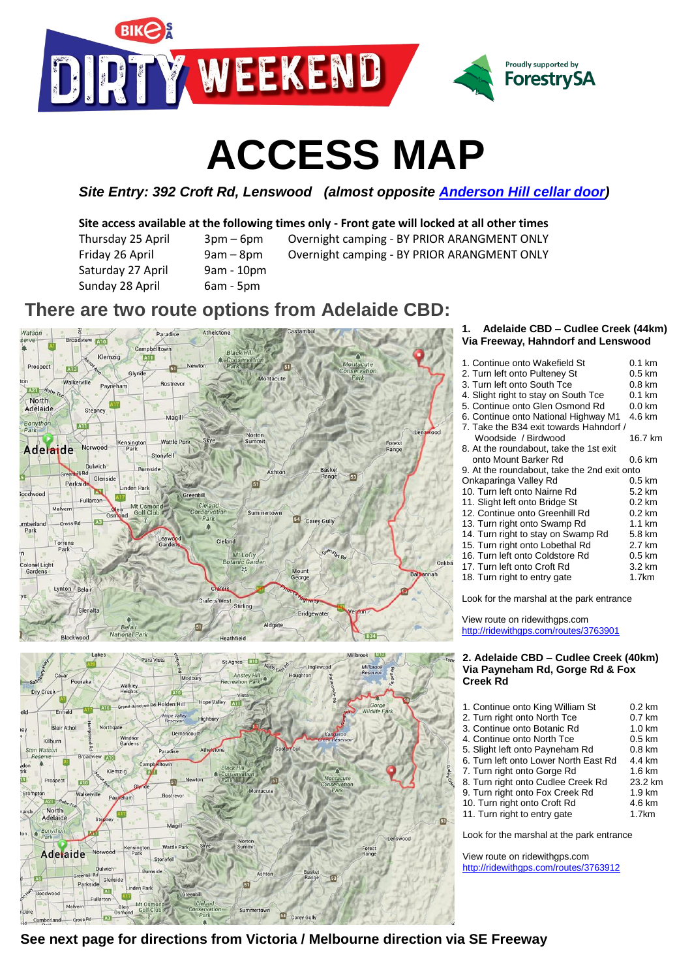

# **ACCESS MAP**

*Site Entry: 392 Croft Rd, Lenswood (almost opposite [Anderson Hill cellar door\)](http://www.andersonhill.com.au/)*

### **Site access available at the following times only - Front gate will locked at all other times**

Thursday 25 April 3pm – 6pm Overnight camping - BY PRIOR ARANGMENT ONLY Friday 26 April 9am – 8pm – Overnight camping - BY PRIOR ARANGMENT ONLY Saturday 27 April 9am - 10pm Sunday 28 April 6am - 5pm

- 
- 

## **There are two route options from Adelaide CBD:**





#### **1. Adelaide CBD – Cudlee Creek (44km) Via Freeway, Hahndorf and Lenswood**

| 1. Continue onto Wakefield St                | $0.1 \text{ km}$ |
|----------------------------------------------|------------------|
| 2. Turn left onto Pulteney St                | $0.5 \text{ km}$ |
| 3. Turn left onto South Tce                  | $0.8 \text{ km}$ |
| 4. Slight right to stay on South Tce         | $0.1$ km         |
| 5. Continue onto Glen Osmond Rd              | $0.0$ km         |
| 6. Continue onto National Highway M1         | 4.6 km           |
| 7. Take the B34 exit towards Hahndorf /      |                  |
| Woodside / Birdwood                          | 16.7 km          |
| 8. At the roundabout, take the 1st exit      |                  |
| onto Mount Barker Rd                         | $0.6 \text{ km}$ |
| 9. At the roundabout, take the 2nd exit onto |                  |
| Onkaparinga Valley Rd                        | $0.5 \text{ km}$ |
| 10. Turn left onto Nairne Rd                 | $5.2 \text{ km}$ |
| 11. Slight left onto Bridge St               | $0.2 \text{ km}$ |
| 12. Continue onto Greenhill Rd               | $0.2 \text{ km}$ |
| 13. Turn right onto Swamp Rd                 | $1.1 \text{ km}$ |
| 14. Turn right to stay on Swamp Rd           | 5.8 km           |
| 15. Turn right onto Lobethal Rd              | 2.7 km           |
| 16. Turn left onto Coldstore Rd              | $0.5 \text{ km}$ |
| 17. Turn left onto Croft Rd                  | 3.2 km           |
| 18. Turn right to entry gate                 | 1.7km            |
|                                              |                  |

Look for the marshal at the park entrance

View route on ridewithgps.com <http://ridewithgps.com/routes/3763901>

#### **2. Adelaide CBD – Cudlee Creek (40km) Via Payneham Rd, Gorge Rd & Fox Creek Rd**

| 1. Continue onto King William St          | $0.2 \text{ km}$ |  |
|-------------------------------------------|------------------|--|
| 2. Turn right onto North Tce              | $0.7$ km         |  |
| 3. Continue onto Botanic Rd               | $1.0 \text{ km}$ |  |
| 4. Continue onto North Tce                | $0.5 \text{ km}$ |  |
| 5. Slight left onto Payneham Rd           | $0.8 \text{ km}$ |  |
| 6. Turn left onto Lower North East Rd     | 4.4 km           |  |
| 7. Turn right onto Gorge Rd               | $1.6 \text{ km}$ |  |
| 8. Turn right onto Cudlee Creek Rd        | 23.2 km          |  |
| 9. Turn right onto Fox Creek Rd           | $1.9 \text{ km}$ |  |
| 10. Turn right onto Croft Rd              | 4.6 km           |  |
| 11. Turn right to entry gate              | 1.7km            |  |
|                                           |                  |  |
| Look for the marshal at the park entrance |                  |  |
|                                           |                  |  |

View route on ridewithgps.com <http://ridewithgps.com/routes/3763912>

**See next page for directions from Victoria / Melbourne direction via SE Freeway**